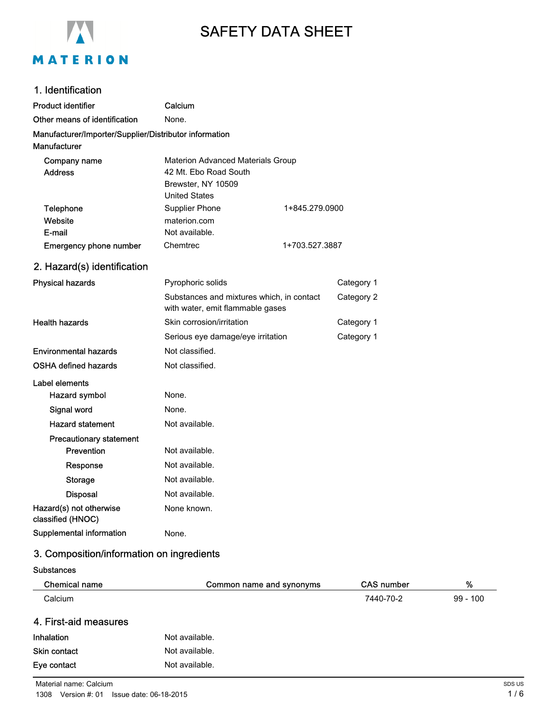

# SAFETY DATA SHEET

# 1. Identification

| <b>Product identifier</b>                                              | Calcium                                                                                                         |            |
|------------------------------------------------------------------------|-----------------------------------------------------------------------------------------------------------------|------------|
| Other means of identification                                          | None.                                                                                                           |            |
| Manufacturer/Importer/Supplier/Distributor information<br>Manufacturer |                                                                                                                 |            |
| Company name<br><b>Address</b>                                         | <b>Materion Advanced Materials Group</b><br>42 Mt. Ebo Road South<br>Brewster, NY 10509<br><b>United States</b> |            |
| Telephone                                                              | Supplier Phone<br>1+845.279.0900                                                                                |            |
| Website                                                                | materion.com                                                                                                    |            |
| E-mail                                                                 | Not available.                                                                                                  |            |
| <b>Emergency phone number</b>                                          | Chemtrec<br>1+703.527.3887                                                                                      |            |
| 2. Hazard(s) identification                                            |                                                                                                                 |            |
| <b>Physical hazards</b>                                                | Pyrophoric solids                                                                                               | Category 1 |
|                                                                        | Substances and mixtures which, in contact<br>with water, emit flammable gases                                   | Category 2 |
| <b>Health hazards</b>                                                  | Skin corrosion/irritation                                                                                       | Category 1 |
|                                                                        | Serious eye damage/eye irritation                                                                               | Category 1 |
| <b>Environmental hazards</b>                                           | Not classified.                                                                                                 |            |
| OSHA defined hazards                                                   | Not classified.                                                                                                 |            |
| Label elements                                                         |                                                                                                                 |            |
| Hazard symbol                                                          | None.                                                                                                           |            |
| Signal word                                                            | None.                                                                                                           |            |
| <b>Hazard statement</b>                                                | Not available.                                                                                                  |            |
| <b>Precautionary statement</b>                                         |                                                                                                                 |            |
| Prevention                                                             | Not available.                                                                                                  |            |
| Response                                                               | Not available.                                                                                                  |            |
| <b>Storage</b>                                                         | Not available.                                                                                                  |            |
| <b>Disposal</b>                                                        | Not available.                                                                                                  |            |
| Hazard(s) not otherwise<br>classified (HNOC)                           | None known.                                                                                                     |            |
| Supplemental information                                               | None.                                                                                                           |            |

# 3. Composition/information on ingredients

| <b>Chemical name</b>  | Common name and synonyms | <b>CAS number</b> | %          |
|-----------------------|--------------------------|-------------------|------------|
| Calcium               |                          | 7440-70-2         | $99 - 100$ |
| 4. First-aid measures |                          |                   |            |
| Inhalation            | Not available.           |                   |            |
| <b>Skin contact</b>   | Not available.           |                   |            |
| Eye contact           | Not available.           |                   |            |
|                       |                          |                   |            |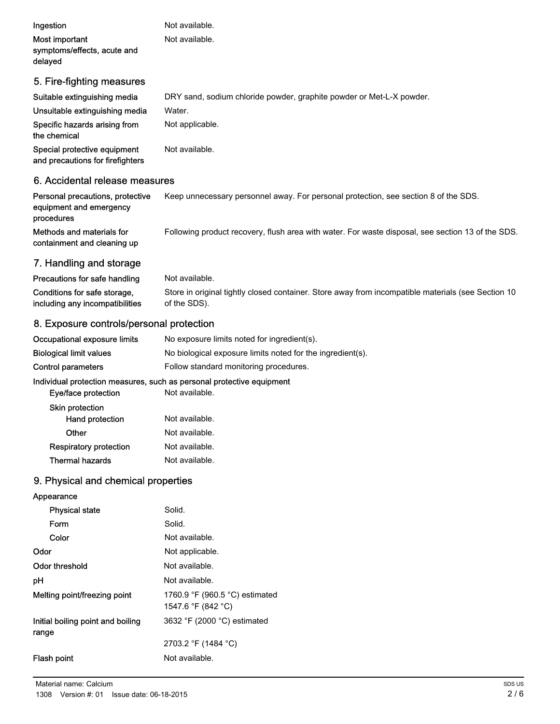| Ingestion<br>Most important<br>symptoms/effects, acute and<br>delayed | Not available.<br>Not available.                                     |
|-----------------------------------------------------------------------|----------------------------------------------------------------------|
| 5. Fire-fighting measures                                             |                                                                      |
| Suitable extinguishing media                                          | DRY sand, sodium chloride powder, graphite powder or Met-L-X powder. |
| Unsuitable extinguishing media                                        | Water.                                                               |
| Specific hazards arising from<br>the chemical                         | Not applicable.                                                      |
| Special protective equipment<br>and precautions for firefighters      | Not available.                                                       |
| 6. Accidental release measures                                        |                                                                      |

| Personal precautions, protective<br>equipment and emergency | Keep unnecessary personnel away. For personal protection, see section 8 of the SDS.               |
|-------------------------------------------------------------|---------------------------------------------------------------------------------------------------|
| procedures<br>Methods and materials for                     | Following product recovery, flush area with water. For waste disposal, see section 13 of the SDS. |
| containment and cleaning up                                 |                                                                                                   |

# 7. Handling and storage

| Precautions for safe handling   | Not available.                                                                                     |
|---------------------------------|----------------------------------------------------------------------------------------------------|
| Conditions for safe storage,    | Store in original tightly closed container. Store away from incompatible materials (see Section 10 |
| including any incompatibilities | of the SDS).                                                                                       |

# 8. Exposure controls/personal protection

| Occupational exposure limits   | No exposure limits noted for ingredient(s).                |
|--------------------------------|------------------------------------------------------------|
| <b>Biological limit values</b> | No biological exposure limits noted for the ingredient(s). |
| Control parameters             | Follow standard monitoring procedures.                     |

### Individual protection measures, such as personal protective equipment

| Eye/face protection           | Not available. |
|-------------------------------|----------------|
| <b>Skin protection</b>        |                |
| <b>Hand protection</b>        | Not available. |
| Other                         | Not available. |
| <b>Respiratory protection</b> | Not available. |
| Thermal hazards               | Not available. |

# 9. Physical and chemical properties

| Appearance                                 |                                                      |
|--------------------------------------------|------------------------------------------------------|
| <b>Physical state</b>                      | Solid.                                               |
| Form                                       | Solid.                                               |
| Color                                      | Not available.                                       |
| Odor                                       | Not applicable.                                      |
| Odor threshold                             | Not available.                                       |
| рH                                         | Not available.                                       |
| Melting point/freezing point               | 1760.9 °F (960.5 °C) estimated<br>1547.6 °F (842 °C) |
| Initial boiling point and boiling<br>range | 3632 °F (2000 °C) estimated                          |
|                                            | 2703.2 °F (1484 °C)                                  |
| <b>Flash point</b>                         | Not available.                                       |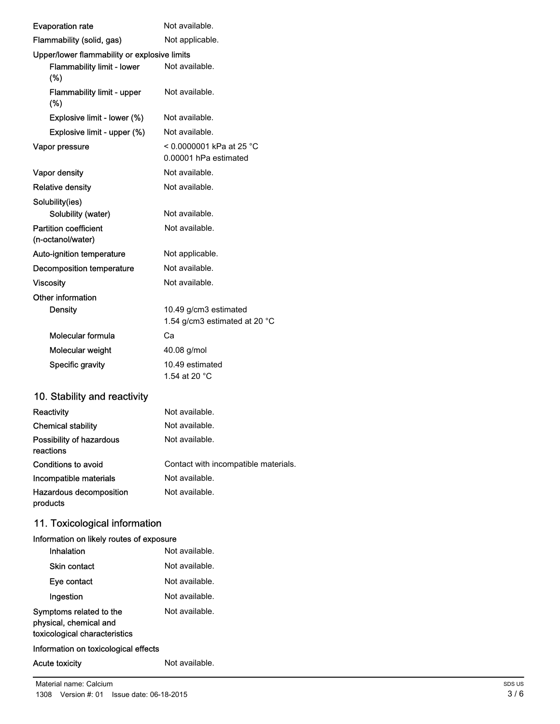| <b>Evaporation rate</b>                                                            | Not available.                                         |
|------------------------------------------------------------------------------------|--------------------------------------------------------|
| Flammability (solid, gas)                                                          | Not applicable.                                        |
| Upper/lower flammability or explosive limits                                       |                                                        |
| <b>Flammability limit - lower</b><br>(%)                                           | Not available.                                         |
| <b>Flammability limit - upper</b><br>$(\%)$                                        | Not available.                                         |
| Explosive limit - lower (%)                                                        | Not available.                                         |
| Explosive limit - upper (%)                                                        | Not available.                                         |
| Vapor pressure                                                                     | < 0.0000001 kPa at 25 °C<br>0.00001 hPa estimated      |
| Vapor density                                                                      | Not available.                                         |
| <b>Relative density</b>                                                            | Not available.                                         |
| Solubility(ies)                                                                    |                                                        |
| Solubility (water)                                                                 | Not available.                                         |
| <b>Partition coefficient</b><br>(n-octanol/water)                                  | Not available.                                         |
| Auto-ignition temperature                                                          | Not applicable.                                        |
| Decomposition temperature                                                          | Not available.                                         |
| <b>Viscosity</b>                                                                   | Not available.                                         |
| Other information<br><b>Density</b>                                                | 10.49 g/cm3 estimated<br>1.54 g/cm3 estimated at 20 °C |
| Molecular formula                                                                  | Сa                                                     |
| Molecular weight                                                                   | 40.08 g/mol                                            |
| <b>Specific gravity</b>                                                            | 10.49 estimated<br>1.54 at 20 °C                       |
| 10. Stability and reactivity                                                       |                                                        |
| <b>Reactivity</b>                                                                  | Not available.                                         |
| <b>Chemical stability</b>                                                          | Not available.                                         |
| Possibility of hazardous<br>reactions                                              | Not available.                                         |
| Conditions to avoid                                                                | Contact with incompatible materials.                   |
| Incompatible materials                                                             | Not available.                                         |
| Hazardous decomposition<br>products                                                | Not available.                                         |
| 11. Toxicological information                                                      |                                                        |
| Information on likely routes of exposure<br>Inhalation                             | Not available.                                         |
| Skin contact                                                                       | Not available.                                         |
| Eye contact                                                                        | Not available.                                         |
| Ingestion                                                                          | Not available.                                         |
| Symptoms related to the<br>physical, chemical and<br>toxicological characteristics | Not available.                                         |
|                                                                                    |                                                        |

# Information on toxicological effects

### Acute toxicity **Not available.**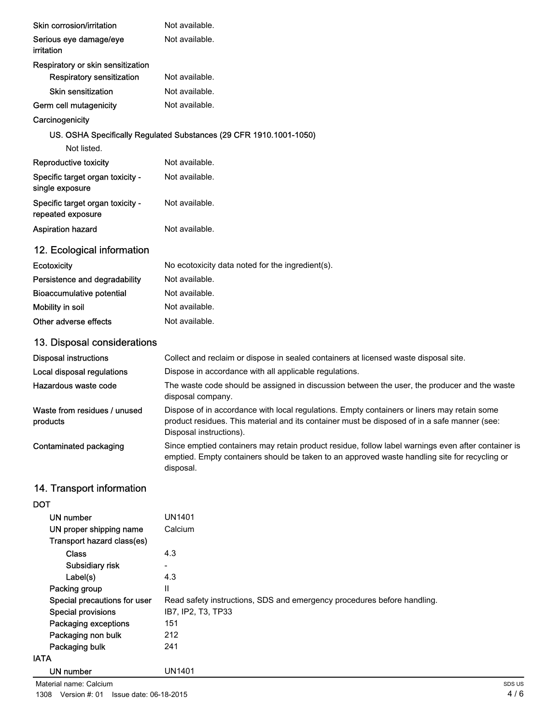| Skin corrosion/irritation                             | Not available.                                                                                                                                                                                                         |
|-------------------------------------------------------|------------------------------------------------------------------------------------------------------------------------------------------------------------------------------------------------------------------------|
| Serious eye damage/eye<br>irritation                  | Not available.                                                                                                                                                                                                         |
| Respiratory or skin sensitization                     |                                                                                                                                                                                                                        |
| Respiratory sensitization                             | Not available.                                                                                                                                                                                                         |
| <b>Skin sensitization</b>                             | Not available.                                                                                                                                                                                                         |
| Germ cell mutagenicity                                | Not available.                                                                                                                                                                                                         |
| Carcinogenicity                                       |                                                                                                                                                                                                                        |
|                                                       | US. OSHA Specifically Regulated Substances (29 CFR 1910.1001-1050)                                                                                                                                                     |
| Not listed.                                           |                                                                                                                                                                                                                        |
| <b>Reproductive toxicity</b>                          | Not available.                                                                                                                                                                                                         |
| Specific target organ toxicity -<br>single exposure   | Not available.                                                                                                                                                                                                         |
| Specific target organ toxicity -<br>repeated exposure | Not available.                                                                                                                                                                                                         |
| <b>Aspiration hazard</b>                              | Not available.                                                                                                                                                                                                         |
| 12. Ecological information                            |                                                                                                                                                                                                                        |
| <b>Ecotoxicity</b>                                    | No ecotoxicity data noted for the ingredient(s).                                                                                                                                                                       |
| Persistence and degradability                         | Not available.                                                                                                                                                                                                         |
| <b>Bioaccumulative potential</b>                      | Not available.                                                                                                                                                                                                         |
| Mobility in soil                                      | Not available.                                                                                                                                                                                                         |
| Other adverse effects                                 | Not available.                                                                                                                                                                                                         |
| 13. Disposal considerations                           |                                                                                                                                                                                                                        |
| <b>Disposal instructions</b>                          | Collect and reclaim or dispose in sealed containers at licensed waste disposal site.                                                                                                                                   |
| Local disposal regulations                            | Dispose in accordance with all applicable regulations.                                                                                                                                                                 |
| Hazardous waste code                                  | The waste code should be assigned in discussion between the user, the producer and the waste<br>disposal company.                                                                                                      |
| Waste from residues / unused<br>products              | Dispose of in accordance with local regulations. Empty containers or liners may retain some<br>product residues. This material and its container must be disposed of in a safe manner (see:<br>Disposal instructions). |
| Contaminated packaging                                | Since emptied containers may retain product residue, follow label warnings even after container is<br>emptied. Empty containers should be taken to an approved waste handling site for recycling or<br>disposal.       |
| 14. Transport information                             |                                                                                                                                                                                                                        |
| DOT                                                   |                                                                                                                                                                                                                        |
| <b>UN number</b>                                      | <b>UN1401</b>                                                                                                                                                                                                          |
| UN proper shipping name<br>Transport hazard class(es) | Calcium                                                                                                                                                                                                                |
| <b>Class</b>                                          | 4.3                                                                                                                                                                                                                    |
| Subsidiary risk                                       |                                                                                                                                                                                                                        |
| Label(s)<br>Packing group                             | 4.3<br>Ш                                                                                                                                                                                                               |
| Special precautions for user                          | Read safety instructions, SDS and emergency procedures before handling.                                                                                                                                                |
| <b>Special provisions</b>                             | IB7, IP2, T3, TP33                                                                                                                                                                                                     |
| Packaging exceptions                                  | 151                                                                                                                                                                                                                    |
| Packaging non bulk                                    | 212                                                                                                                                                                                                                    |
| Packaging bulk                                        | 241                                                                                                                                                                                                                    |
| <b>IATA</b>                                           |                                                                                                                                                                                                                        |
| <b>UN number</b>                                      | <b>UN1401</b>                                                                                                                                                                                                          |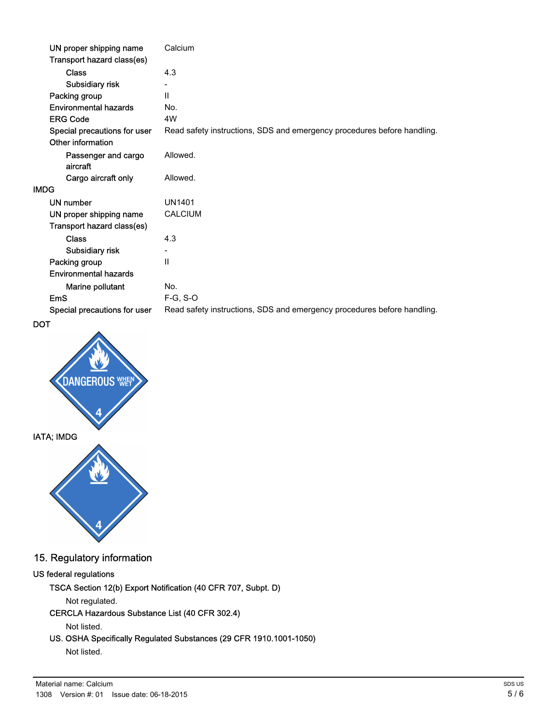| UN proper shipping name         | Calcium                                                                 |
|---------------------------------|-------------------------------------------------------------------------|
| Transport hazard class(es)      |                                                                         |
| <b>Class</b>                    | 4.3                                                                     |
| Subsidiary risk                 |                                                                         |
| Packing group                   | $\mathbf{H}$                                                            |
| <b>Environmental hazards</b>    | No.                                                                     |
| <b>ERG Code</b>                 | 4W                                                                      |
| Special precautions for user    | Read safety instructions, SDS and emergency procedures before handling. |
| Other information               |                                                                         |
| Passenger and cargo<br>aircraft | Allowed.                                                                |
| Cargo aircraft only             | Allowed.                                                                |
| <b>IMDG</b>                     |                                                                         |
| UN number                       | <b>UN1401</b>                                                           |
| UN proper shipping name         | <b>CALCIUM</b>                                                          |
| Transport hazard class(es)      |                                                                         |
| <b>Class</b>                    | 4.3                                                                     |
| Subsidiary risk                 | $\overline{\phantom{a}}$                                                |
| Packing group                   | $\mathbf{H}$                                                            |
| <b>Environmental hazards</b>    |                                                                         |
| Marine pollutant                | No.                                                                     |
| <b>EmS</b>                      | $F-G, S-O$                                                              |
| Special precautions for user    | Read safety instructions, SDS and emergency procedures before handling. |

DOT



# 15. Regulatory information

### US federal regulations

TSCA Section 12(b) Export Notification (40 CFR 707, Subpt. D)

### Not regulated.

### CERCLA Hazardous Substance List (40 CFR 302.4)

Not listed.

## US. OSHA Specifically Regulated Substances (29 CFR 1910.1001-1050)

Not listed.